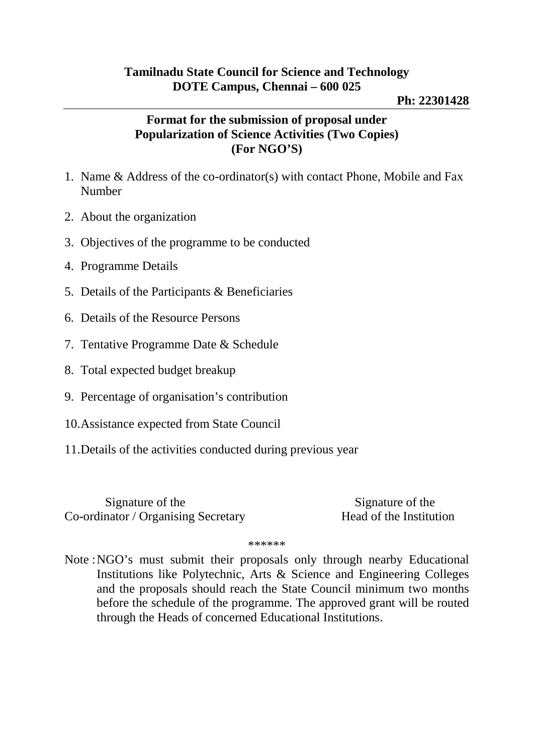## **Ph: 22301428**

## **Format for the submission of proposal under Popularization of Science Activities (Two Copies) (For NGO'S)**

- 1. Name & Address of the co-ordinator(s) with contact Phone, Mobile and Fax Number
- 2. About the organization
- 3. Objectives of the programme to be conducted
- 4. Programme Details
- 5. Details of the Participants & Beneficiaries
- 6. Details of the Resource Persons
- 7. Tentative Programme Date & Schedule
- 8. Total expected budget breakup
- 9. Percentage of organisation's contribution
- 10.Assistance expected from State Council
- 11.Details of the activities conducted during previous year

Signature of the Signature of the Signature of the Signature of the Signature of the Signature of the Signature of the Signature of the Signature of the Signature of the Signature of the Signature of the Signature of the S Co-ordinator / Organising Secretary Head of the Institution

\*\*\*\*\*\*

Note :NGO's must submit their proposals only through nearby Educational Institutions like Polytechnic, Arts & Science and Engineering Colleges and the proposals should reach the State Council minimum two months before the schedule of the programme. The approved grant will be routed through the Heads of concerned Educational Institutions.